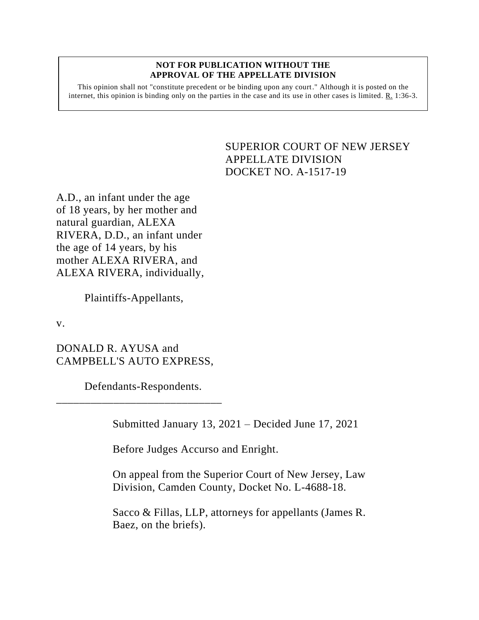## **NOT FOR PUBLICATION WITHOUT THE APPROVAL OF THE APPELLATE DIVISION**

This opinion shall not "constitute precedent or be binding upon any court." Although it is posted on the internet, this opinion is binding only on the parties in the case and its use in other cases is limited.  $R_1$  1:36-3.

## <span id="page-0-0"></span>SUPERIOR COURT OF NEW JERSEY APPELLATE DIVISION DOCKET NO. A-1517-19

A.D., an infant under the age of 18 years, by her mother and natural guardian, ALEXA RIVERA, D.D., an infant under the age of 14 years, by his mother ALEXA RIVERA, and ALEXA RIVERA, individually,

Plaintiffs-Appellants,

v.

DONALD R. AYUSA and CAMPBELL'S AUTO EXPRESS,

Defendants-Respondents.

\_\_\_\_\_\_\_\_\_\_\_\_\_\_\_\_\_\_\_\_\_\_\_\_\_\_\_\_\_

Submitted January 13, 2021 – Decided June 17, 2021

Before Judges Accurso and Enright.

On appeal from the Superior Court of New Jersey, Law Division, Camden County, Docket No. L-4688-18.

Sacco & Fillas, LLP, attorneys for appellants (James R. Baez, on the briefs).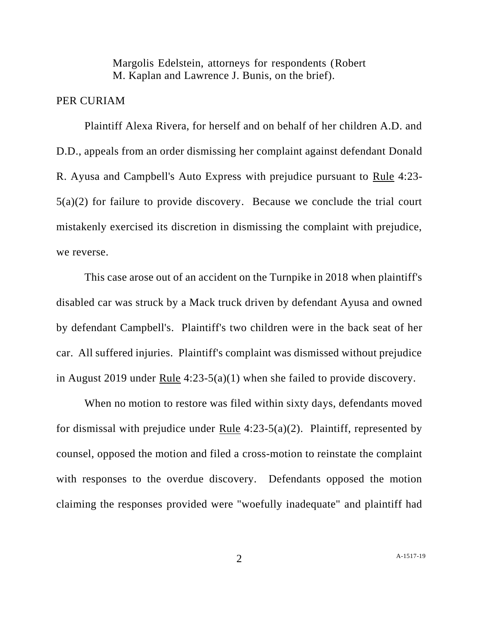Margolis Edelstein, attorneys for respondents (Robert M. Kaplan and Lawrence J. Bunis, on the brief).

## PER CURIAM

Plaintiff Alexa Rivera, for herself and on behalf of her children A.D. and D.D., appeals from an order dismissing her complaint against defendant Donald R. Ayusa and Campbell's Auto Express with prejudice pursuant to Rule 4:23- 5(a)(2) for failure to provide discovery. Because we conclude the trial court mistakenly exercised its discretion in dismissing the complaint with prejudice, we reverse.

This case arose out of an accident on the Turnpike in 2018 when plaintiff's disabled car was struck by a Mack truck driven by defendant Ayusa and owned by defendant Campbell's. Plaintiff's two children were in the back seat of her car. All suffered injuries. Plaintiff's complaint was dismissed without prejudice in August 2019 under Rule 4:23-5(a)(1) when she failed to provide discovery.

When no motion to restore was filed within sixty days, defendants moved for dismissal with prejudice under Rule  $4:23-5(a)(2)$ . Plaintiff, represented by counsel, opposed the motion and filed a cross-motion to reinstate the complaint with responses to the overdue discovery. Defendants opposed the motion claiming the responses provided were "woefully inadequate" and plaintiff had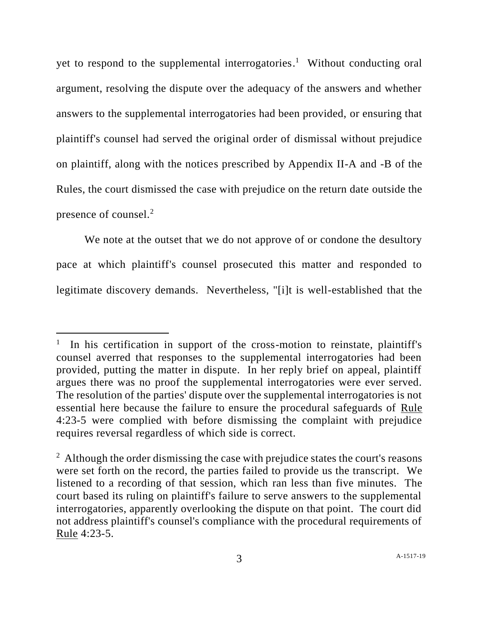yet to respond to the supplemental interrogatories.<sup>1</sup> Without conducting oral argument, resolving the dispute over the adequacy of the answers and whether answers to the supplemental interrogatories had been provided, or ensuring that plaintiff's counsel had served the original order of dismissal without prejudice on plaintiff, along with the notices prescribed by Appendix II-A and -B of the Rules, the court dismissed the case with prejudice on the return date outside the presence of counsel.<sup>2</sup>

We note at the outset that we do not approve of or condone the desultory pace at which plaintiff's counsel prosecuted this matter and responded to legitimate discovery demands. Nevertheless, "[i]t is well-established that the

<sup>1</sup> In his certification in support of the cross-motion to reinstate, plaintiff's counsel averred that responses to the supplemental interrogatories had been provided, putting the matter in dispute. In her reply brief on appeal, plaintiff argues there was no proof the supplemental interrogatories were ever served. The resolution of the parties' dispute over the supplemental interrogatories is not essential here because the failure to ensure the procedural safeguards of Rule 4:23-5 were complied with before dismissing the complaint with prejudice requires reversal regardless of which side is correct.

 $2$  Although the order dismissing the case with prejudice states the court's reasons were set forth on the record, the parties failed to provide us the transcript. We listened to a recording of that session, which ran less than five minutes. The court based its ruling on plaintiff's failure to serve answers to the supplemental interrogatories, apparently overlooking the dispute on that point. The court did not address plaintiff's counsel's compliance with the procedural requirements of Rule 4:23-5.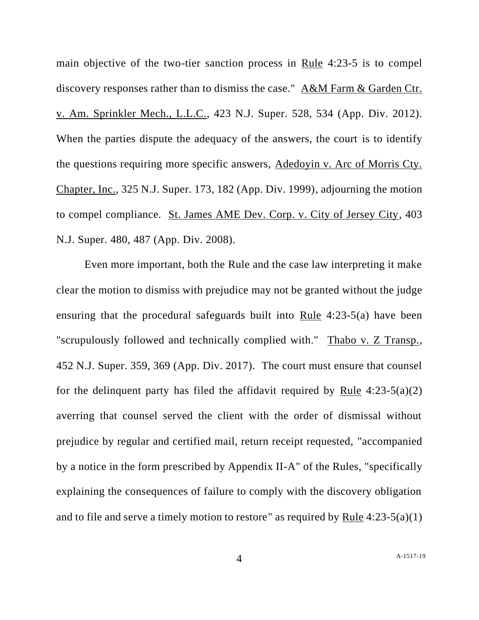main objective of the two-tier sanction process in Rule 4:23-5 is to compel discovery responses rather than to dismiss the case." A&M Farm & Garden Ctr. v. Am. Sprinkler Mech., L.L.C., 423 N.J. Super. 528, 534 (App. Div. 2012). When the parties dispute the adequacy of the answers, the court is to identify the questions requiring more specific answers, Adedoyin v. Arc of Morris Cty. Chapter, Inc., 325 N.J. Super. 173, 182 (App. Div. 1999), adjourning the motion to compel compliance. St. James AME Dev. Corp. v. City of Jersey City, 403 N.J. Super. 480, 487 (App. Div. 2008).

Even more important, both the Rule and the case law interpreting it make clear the motion to dismiss with prejudice may not be granted without the judge ensuring that the procedural safeguards built into Rule 4:23-5(a) have been "scrupulously followed and technically complied with." Thabo v. Z Transp., 452 N.J. Super. 359, 369 (App. Div. 2017). The court must ensure that counsel for the delinquent party has filed the affidavit required by Rule  $4:23-5(a)(2)$ averring that counsel served the client with the order of dismissal without prejudice by regular and certified mail, return receipt requested, "accompanied by a notice in the form prescribed by Appendix II-A" of the Rules, "specifically explaining the consequences of failure to comply with the discovery obligation and to file and serve a timely motion to restore" as required by Rule 4:23-5(a)(1)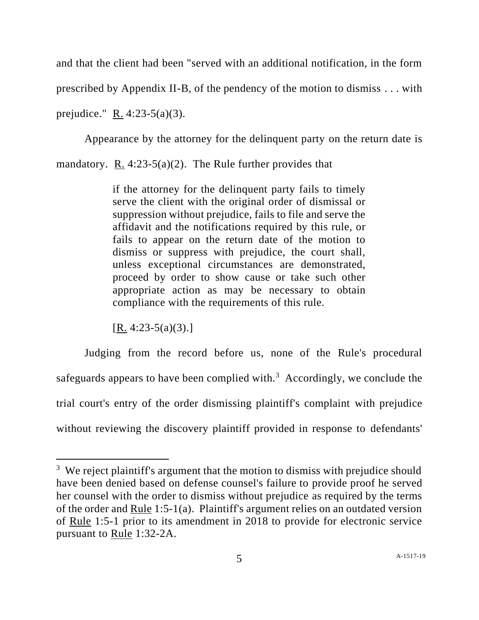and that the client had been "served with an additional notification, in the form prescribed by Appendix II-B, of the pendency of the motion to dismiss . . . with prejudice." R. 4:23-5(a)(3).

Appearance by the attorney for the delinquent party on the return date is mandatory. R. 4:23-5(a)(2). The Rule further provides that

> if the attorney for the delinquent party fails to timely serve the client with the original order of dismissal or suppression without prejudice, fails to file and serve the affidavit and the notifications required by this rule, or fails to appear on the return date of the motion to dismiss or suppress with prejudice, the court shall, unless exceptional circumstances are demonstrated, proceed by order to show cause or take such other appropriate action as may be necessary to obtain compliance with the requirements of this rule.

 $[R. 4:23-5(a)(3).]$ 

Judging from the record before us, none of the Rule's procedural safeguards appears to have been complied with. $3$  Accordingly, we conclude the trial court's entry of the order dismissing plaintiff's complaint with prejudice without reviewing the discovery plaintiff provided in response to defendants'

 $3$  We reject plaintiff's argument that the motion to dismiss with prejudice should have been denied based on defense counsel's failure to provide proof he served her counsel with the order to dismiss without prejudice as required by the terms of the order and Rule 1:5-1(a). Plaintiff's argument relies on an outdated version of Rule 1:5-1 prior to its amendment in 2018 to provide for electronic service pursuant to Rule 1:32-2A.